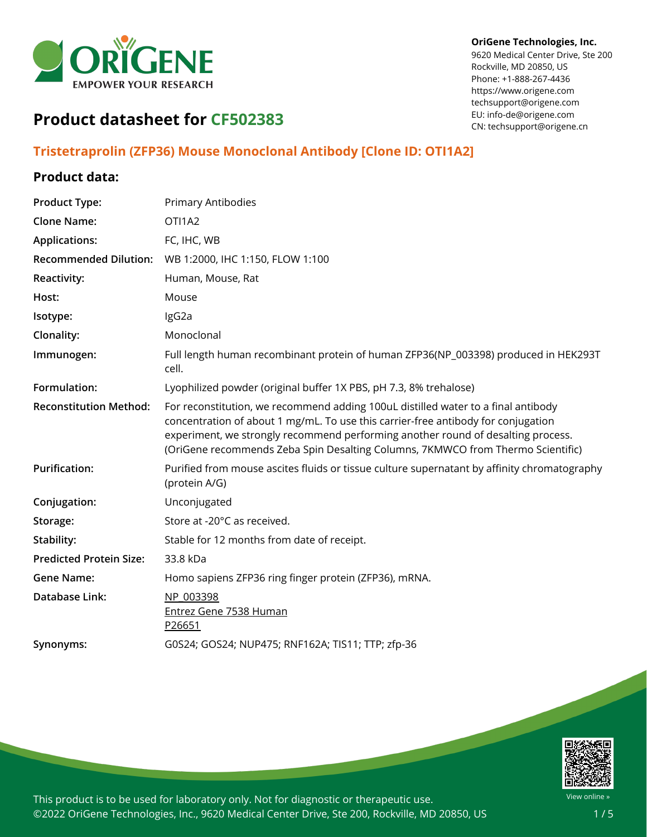

#### **OriGene Technologies, Inc.**

9620 Medical Center Drive, Ste 200 Rockville, MD 20850, US Phone: +1-888-267-4436 https://www.origene.com techsupport@origene.com EU: info-de@origene.com CN: techsupport@origene.cn

# **Product datasheet for CF502383**

# **Tristetraprolin (ZFP36) Mouse Monoclonal Antibody [Clone ID: OTI1A2]**

## **Product data:**

| <b>Product Type:</b>           | <b>Primary Antibodies</b>                                                                                                                                                                                                                                                                                                                     |
|--------------------------------|-----------------------------------------------------------------------------------------------------------------------------------------------------------------------------------------------------------------------------------------------------------------------------------------------------------------------------------------------|
| <b>Clone Name:</b>             | OTI1A2                                                                                                                                                                                                                                                                                                                                        |
| <b>Applications:</b>           | FC, IHC, WB                                                                                                                                                                                                                                                                                                                                   |
| <b>Recommended Dilution:</b>   | WB 1:2000, IHC 1:150, FLOW 1:100                                                                                                                                                                                                                                                                                                              |
| Reactivity:                    | Human, Mouse, Rat                                                                                                                                                                                                                                                                                                                             |
| Host:                          | Mouse                                                                                                                                                                                                                                                                                                                                         |
| Isotype:                       | IgG2a                                                                                                                                                                                                                                                                                                                                         |
| Clonality:                     | Monoclonal                                                                                                                                                                                                                                                                                                                                    |
| Immunogen:                     | Full length human recombinant protein of human ZFP36(NP_003398) produced in HEK293T<br>cell.                                                                                                                                                                                                                                                  |
| Formulation:                   | Lyophilized powder (original buffer 1X PBS, pH 7.3, 8% trehalose)                                                                                                                                                                                                                                                                             |
| <b>Reconstitution Method:</b>  | For reconstitution, we recommend adding 100uL distilled water to a final antibody<br>concentration of about 1 mg/mL. To use this carrier-free antibody for conjugation<br>experiment, we strongly recommend performing another round of desalting process.<br>(OriGene recommends Zeba Spin Desalting Columns, 7KMWCO from Thermo Scientific) |
| <b>Purification:</b>           | Purified from mouse ascites fluids or tissue culture supernatant by affinity chromatography<br>(protein A/G)                                                                                                                                                                                                                                  |
| Conjugation:                   | Unconjugated                                                                                                                                                                                                                                                                                                                                  |
| Storage:                       | Store at -20°C as received.                                                                                                                                                                                                                                                                                                                   |
| Stability:                     | Stable for 12 months from date of receipt.                                                                                                                                                                                                                                                                                                    |
| <b>Predicted Protein Size:</b> | 33.8 kDa                                                                                                                                                                                                                                                                                                                                      |
| <b>Gene Name:</b>              | Homo sapiens ZFP36 ring finger protein (ZFP36), mRNA.                                                                                                                                                                                                                                                                                         |
| Database Link:                 | NP 003398<br><b>Entrez Gene 7538 Human</b><br>P26651                                                                                                                                                                                                                                                                                          |
| Synonyms:                      | G0S24; GOS24; NUP475; RNF162A; TIS11; TTP; zfp-36                                                                                                                                                                                                                                                                                             |
|                                |                                                                                                                                                                                                                                                                                                                                               |

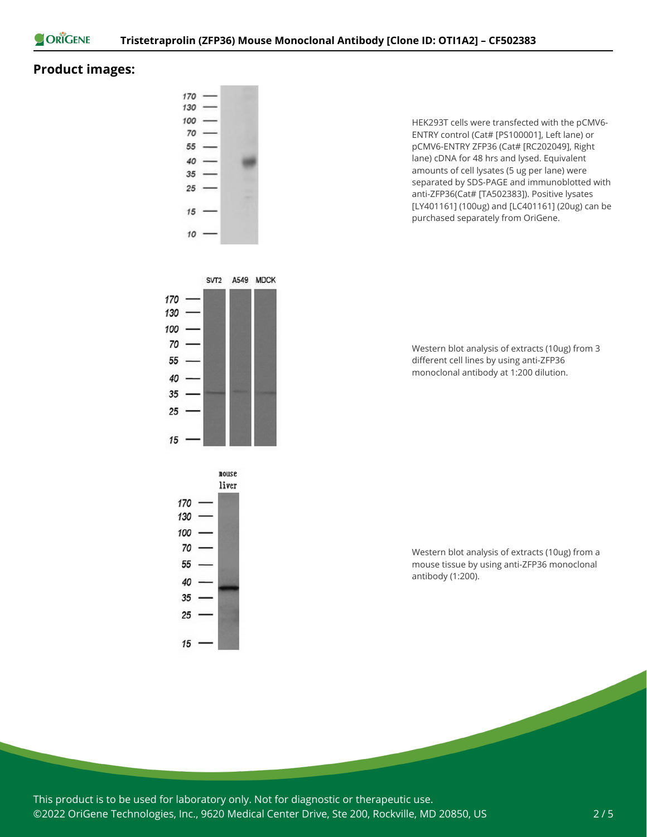

## **Product images:**



nouse liver 170  $130 100 70 55 -$ 40 - $35 25 15 -$ 

HEK293T cells were transfected with the pCMV6- ENTRY control (Cat# [PS100001], Left lane) or pCMV6-ENTRY ZFP36 (Cat# [RC202049], Right lane) cDNA for 48 hrs and lysed. Equivalent amounts of cell lysates (5 ug per lane) were separated by SDS-PAGE and immunoblotted with anti-ZFP36(Cat# [TA502383]). Positive lysates [LY401161] (100ug) and [LC401161] (20ug) can be purchased separately from OriGene.

Western blot analysis of extracts (10ug) from 3 different cell lines by using anti-ZFP36 monoclonal antibody at 1:200 dilution.

Western blot analysis of extracts (10ug) from a mouse tissue by using anti-ZFP36 monoclonal antibody (1:200).

This product is to be used for laboratory only. Not for diagnostic or therapeutic use. ©2022 OriGene Technologies, Inc., 9620 Medical Center Drive, Ste 200, Rockville, MD 20850, US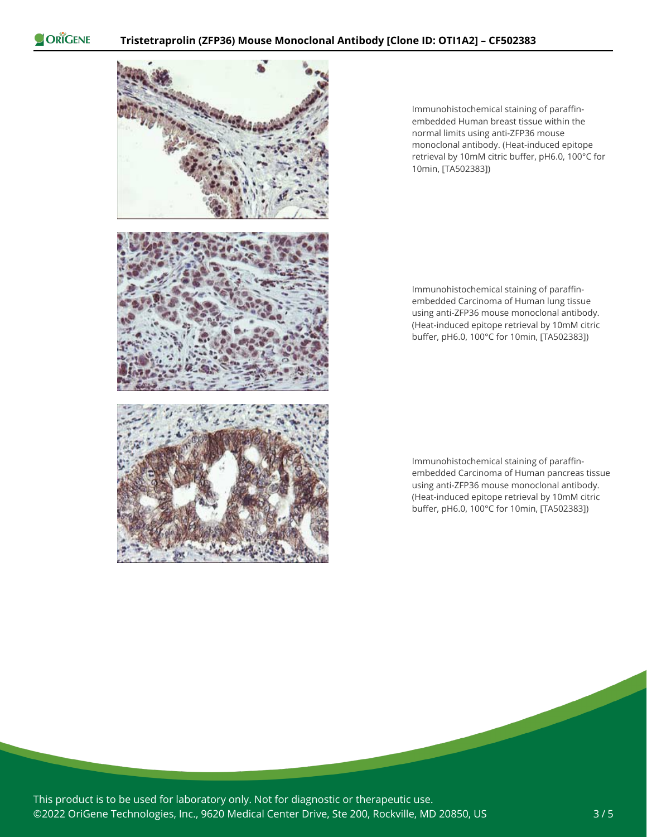



Immunohistochemical staining of paraffinembedded Human breast tissue within the normal limits using anti-ZFP36 mouse monoclonal antibody. (Heat-induced epitope retrieval by 10mM citric buffer, pH6.0, 100°C for 10min, [TA502383])

Immunohistochemical staining of paraffinembedded Carcinoma of Human lung tissue using anti-ZFP36 mouse monoclonal antibody. (Heat-induced epitope retrieval by 10mM citric buffer, pH6.0, 100°C for 10min, [TA502383])

Immunohistochemical staining of paraffinembedded Carcinoma of Human pancreas tissue using anti-ZFP36 mouse monoclonal antibody. (Heat-induced epitope retrieval by 10mM citric buffer, pH6.0, 100°C for 10min, [TA502383])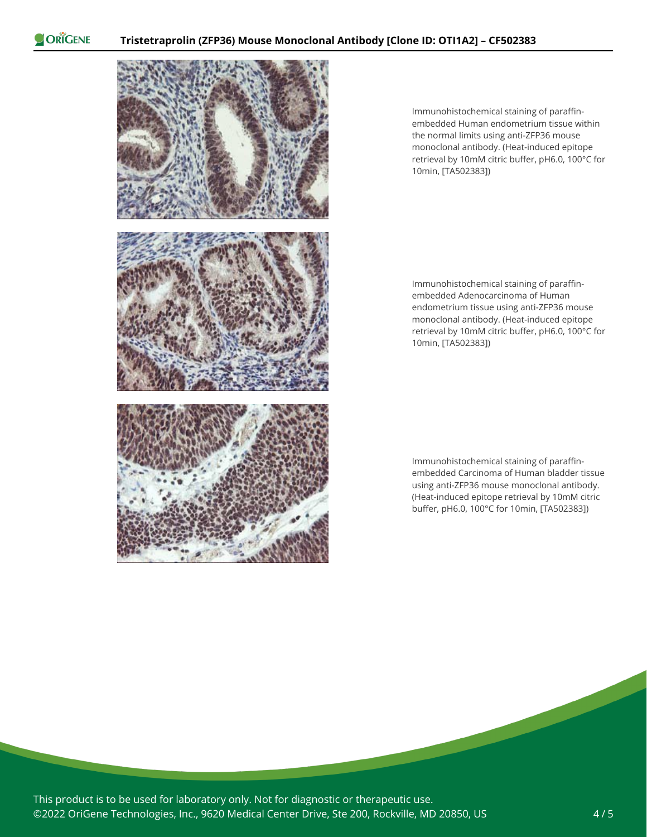ORIGENE



Immunohistochemical staining of paraffinembedded Human endometrium tissue within the normal limits using anti-ZFP36 mouse monoclonal antibody. (Heat-induced epitope retrieval by 10mM citric buffer, pH6.0, 100°C for 10min, [TA502383])

Immunohistochemical staining of paraffinembedded Adenocarcinoma of Human endometrium tissue using anti-ZFP36 mouse monoclonal antibody. (Heat-induced epitope retrieval by 10mM citric buffer, pH6.0, 100°C for 10min, [TA502383])

Immunohistochemical staining of paraffinembedded Carcinoma of Human bladder tissue using anti-ZFP36 mouse monoclonal antibody. (Heat-induced epitope retrieval by 10mM citric buffer, pH6.0, 100°C for 10min, [TA502383])